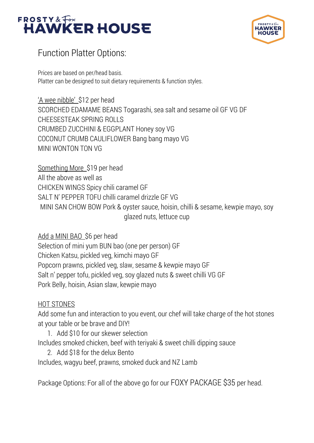



## Function Platter Options:

Prices are based on per/head basis. Platter can be designed to suit dietary requirements & function styles.

'A wee nibble' \$12 per head SCORCHED EDAMAME BEANS Togarashi, sea salt and sesame oil GF VG DF CHEESESTEAK SPRING ROLLS CRUMBED ZUCCHINI & EGGPLANT Honey soy VG COCONUT CRUMB CAULIFLOWER Bang bang mayo VG MINI WONTON TON VG

Something More \$19 per head All the above as well as CHICKEN WINGS Spicy chili caramel GF SALT N' PEPPER TOFU chilli caramel drizzle GF VG MINI SAN CHOW BOW Pork & oyster sauce, hoisin, chilli & sesame, kewpie mayo, soy glazed nuts, lettuce cup

Add a MINI BAO \$6 per head

Selection of mini yum BUN bao (one per person) GF Chicken Katsu, pickled veg, kimchi mayo GF Popcorn prawns, pickled veg, slaw, sesame & kewpie mayo GF Salt n' pepper tofu, pickled veg, soy glazed nuts & sweet chilli VG GF Pork Belly, hoisin, Asian slaw, kewpie mayo

## HOT STONES

Add some fun and interaction to you event, our chef will take charge of the hot stones at your table or be brave and DIY!

1. Add \$10 for our skewer selection

Includes smoked chicken, beef with teriyaki & sweet chilli dipping sauce

2. Add \$18 for the delux Bento

Includes, wagyu beef, prawns, smoked duck and NZ Lamb

Package Options: For all of the above go for our FOXY PACKAGE \$35 per head.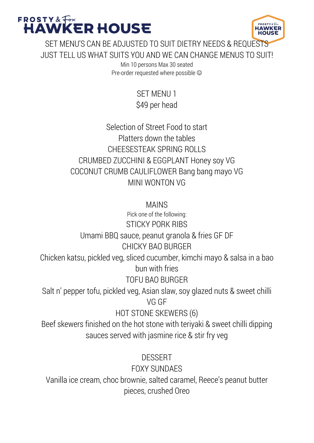

SET MENU'S CAN BE ADJUSTED TO SUIT DIETRY NEEDS & REQUESTS JUST TELL US WHAT SUITS YOU AND WE CAN CHANGE MENUS TO SUIT!

> Min 10 persons Max 30 seated Pre-order requested where possible  $\odot$

> > SET MENU 1 \$49 per head

Selection of Street Food to start Platters down the tables CHEESESTEAK SPRING ROLLS CRUMBED ZUCCHINI & EGGPLANT Honey soy VG COCONUT CRUMB CAULIFLOWER Bang bang mayo VG MINI WONTON VG

MAINS

Pick one of the following: STICKY PORK RIBS Umami BBQ sauce, peanut granola & fries GF DF CHICKY BAO BURGER Chicken katsu, pickled veg, sliced cucumber, kimchi mayo & salsa in a bao bun with fries TOFU BAO BURGER Salt n' pepper tofu, pickled veg, Asian slaw, soy glazed nuts & sweet chilli VG GF HOT STONE SKEWERS (6) Beef skewers finished on the hot stone with teriyaki & sweet chilli dipping sauces served with jasmine rice & stir fry veg DESSERT FOXY SUNDAES Vanilla ice cream, choc brownie, salted caramel, Reece's peanut butter pieces, crushed Oreo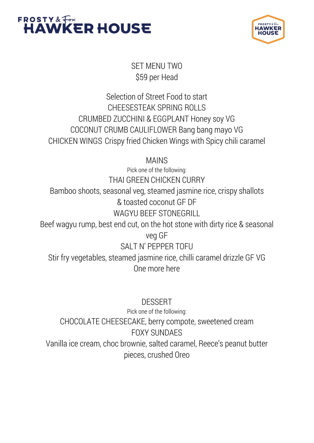



SET MENU TWO \$59 per Head

Selection of Street Food to start CHEESESTEAK SPRING ROLLS CRUMBED ZUCCHINI & EGGPLANT Honey soy VG COCONUT CRUMB CAULIFLOWER Bang bang mayo VG CHICKEN WINGS Crispy fried Chicken Wings with Spicy chili caramel

MAINS

Pick one of the following: THAI GREEN CHICKEN CURRY Bamboo shoots, seasonal veg, steamed jasmine rice, crispy shallots & toasted coconut GF DF WAGYU BEEF STONEGRILL Beef wagyu rump, best end cut, on the hot stone with dirty rice & seasonal veg GF SALT N' PEPPER TOFU Stir fry vegetables, steamed jasmine rice, chilli caramel drizzle GF VG

One more here

DESSERT Pick one of the following: CHOCOLATE CHEESECAKE, berry compote, sweetened cream FOXY SUNDAES Vanilla ice cream, choc brownie, salted caramel, Reece's peanut butter pieces, crushed Oreo